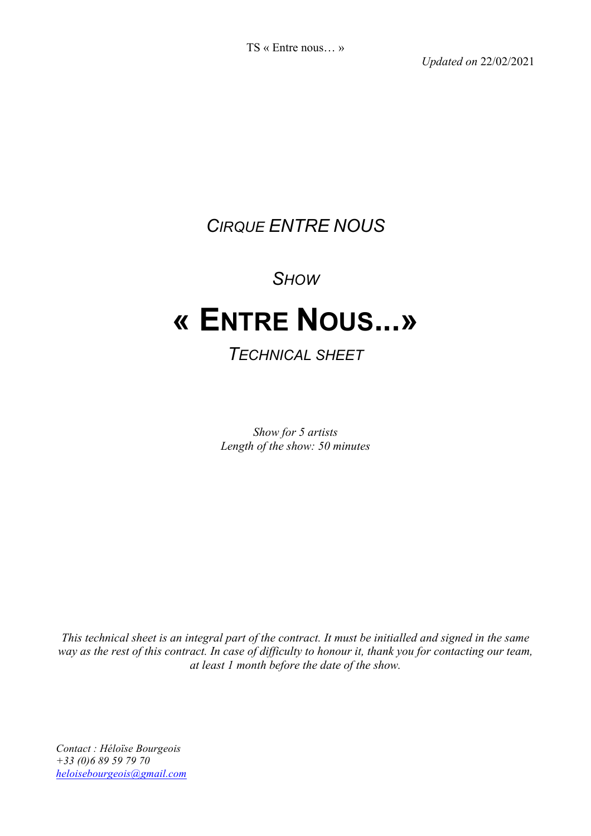*Updated on* 22/02/2021

# *CIRQUE ENTRE NOUS*

### *SHOW*

# **« ENTRE NOUS...»**

### *TECHNICAL SHEET*

*Show for 5 artists Length of the show: 50 minutes*

*This technical sheet is an integral part of the contract. It must be initialled and signed in the same way as the rest of this contract. In case of difficulty to honour it, thank you for contacting our team, at least 1 month before the date of the show.*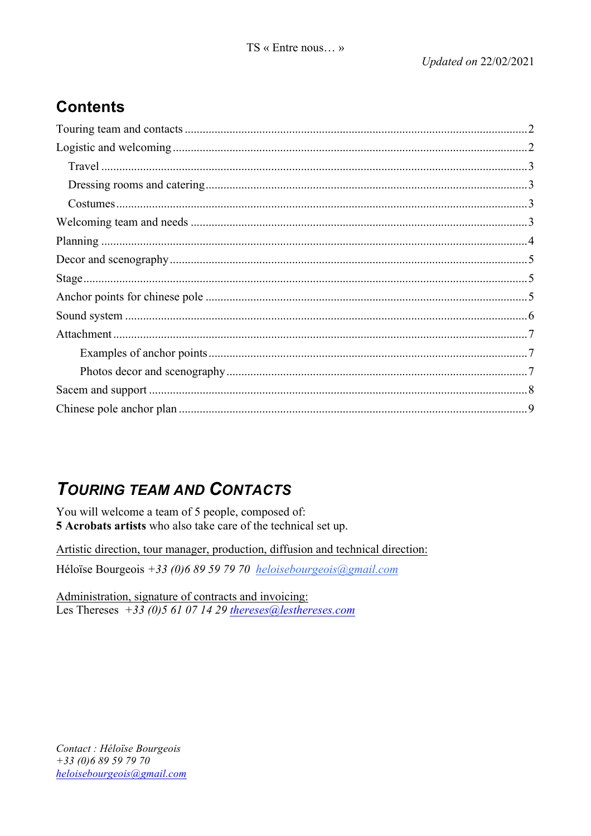### **Contents**

# **TOURING TEAM AND CONTACTS**

You will welcome a team of 5 people, composed of: 5 Acrobats artists who also take care of the technical set up.

Artistic direction, tour manager, production, diffusion and technical direction: Héloïse Bourgeois +33 (0)6 89 59 79 70 heloisebourgeois@gmail.com

Administration, signature of contracts and invoicing: Les Thereses +33 (0) 5 61 07 14 29 thereses (a) les thereses.com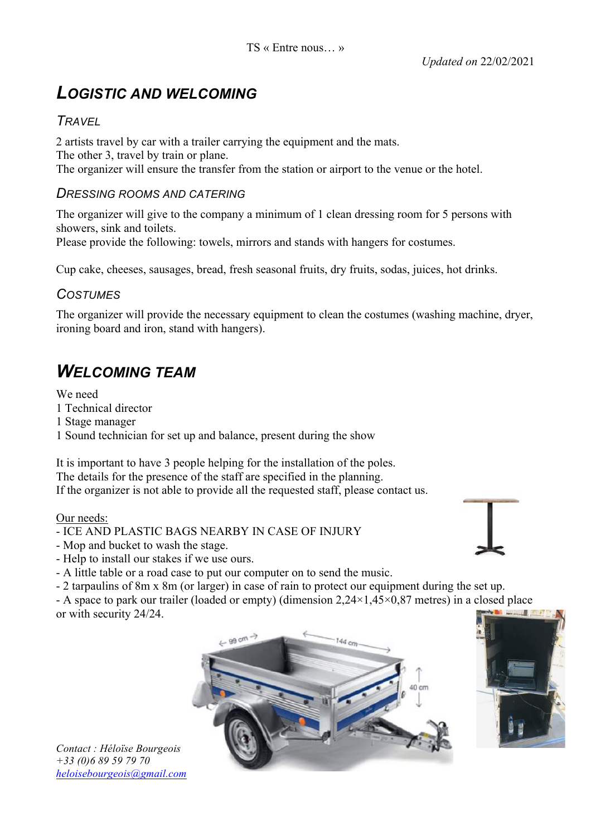### *LOGISTIC AND WELCOMING*

#### *TRAVEL*

2 artists travel by car with a trailer carrying the equipment and the mats. The other 3, travel by train or plane. The organizer will ensure the transfer from the station or airport to the venue or the hotel.

#### *DRESSING ROOMS AND CATERING*

The organizer will give to the company a minimum of 1 clean dressing room for 5 persons with showers, sink and toilets. Please provide the following: towels, mirrors and stands with hangers for costumes.

Cup cake, cheeses, sausages, bread, fresh seasonal fruits, dry fruits, sodas, juices, hot drinks.

#### *COSTUMES*

The organizer will provide the necessary equipment to clean the costumes (washing machine, dryer, ironing board and iron, stand with hangers).

## *WELCOMING TEAM*

We need 1 Technical director 1 Stage manager 1 Sound technician for set up and balance, present during the show

It is important to have 3 people helping for the installation of the poles. The details for the presence of the staff are specified in the planning. If the organizer is not able to provide all the requested staff, please contact us.

#### Our needs:

- ICE AND PLASTIC BAGS NEARBY IN CASE OF INJURY

- Mop and bucket to wash the stage.
- Help to install our stakes if we use ours.
- A little table or a road case to put our computer on to send the music.
- 2 tarpaulins of 8m x 8m (or larger) in case of rain to protect our equipment during the set up.

- A space to park our trailer (loaded or empty) (dimension 2,24×1,45×0,87 metres) in a closed place or with security 24/24.





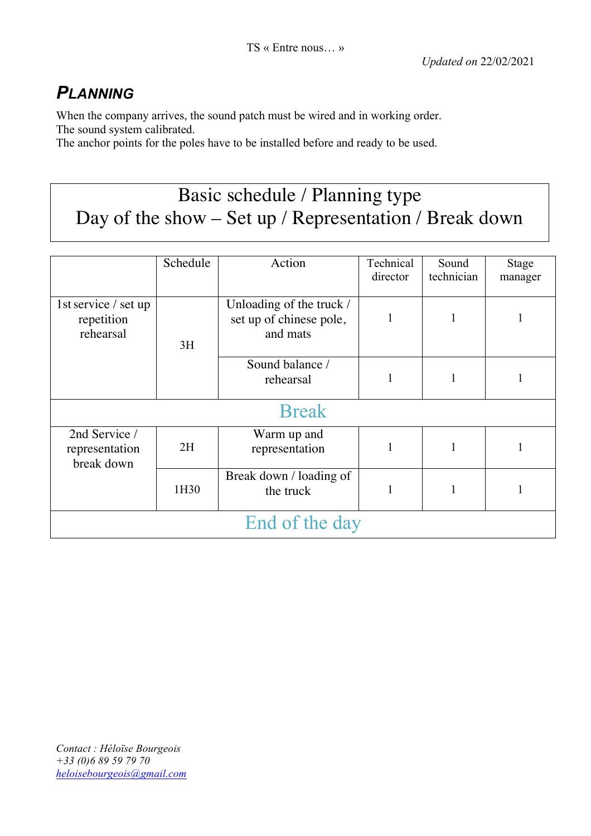## *PLANNING*

When the company arrives, the sound patch must be wired and in working order. The sound system calibrated.

The anchor points for the poles have to be installed before and ready to be used.

# Basic schedule / Planning type Day of the show – Set up / Representation / Break down

|                                                 | Schedule | Action                                                          | Technical<br>director | Sound<br>technician | <b>Stage</b><br>manager |  |
|-------------------------------------------------|----------|-----------------------------------------------------------------|-----------------------|---------------------|-------------------------|--|
| 1st service / set up<br>repetition<br>rehearsal | 3H       | Unloading of the truck /<br>set up of chinese pole,<br>and mats |                       | 1                   |                         |  |
|                                                 |          | Sound balance /<br>rehearsal                                    |                       |                     |                         |  |
| <b>Break</b>                                    |          |                                                                 |                       |                     |                         |  |
| 2nd Service /<br>representation<br>break down   | 2H       | Warm up and<br>representation                                   |                       |                     |                         |  |
|                                                 | 1H30     | Break down / loading of<br>the truck                            |                       |                     |                         |  |
| End of the day                                  |          |                                                                 |                       |                     |                         |  |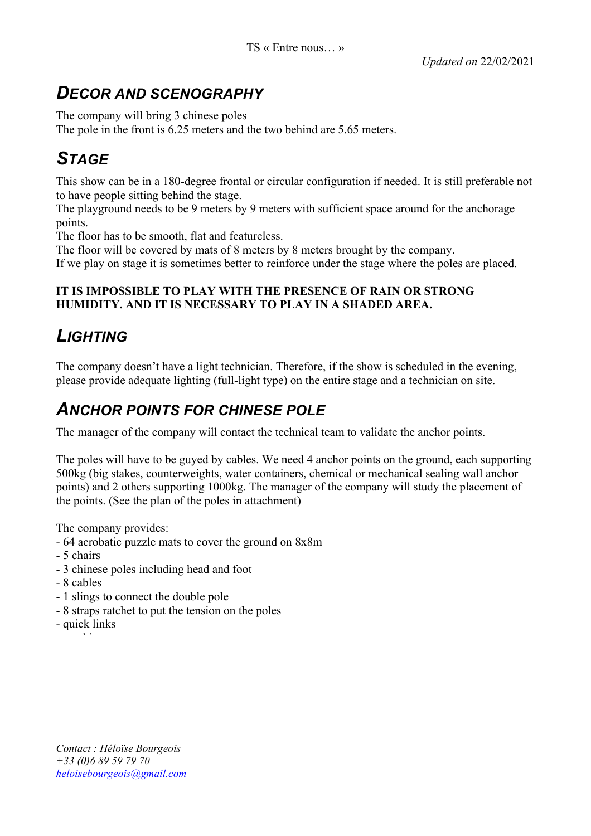## *DECOR AND SCENOGRAPHY*

The company will bring 3 chinese poles

The pole in the front is 6.25 meters and the two behind are 5.65 meters.

# *STAGE*

This show can be in a 180-degree frontal or circular configuration if needed. It is still preferable not to have people sitting behind the stage.

The playground needs to be 9 meters by 9 meters with sufficient space around for the anchorage points.

The floor has to be smooth, flat and featureless.

The floor will be covered by mats of 8 meters by 8 meters brought by the company. If we play on stage it is sometimes better to reinforce under the stage where the poles are placed.

#### **IT IS IMPOSSIBLE TO PLAY WITH THE PRESENCE OF RAIN OR STRONG HUMIDITY. AND IT IS NECESSARY TO PLAY IN A SHADED AREA.**

# *LIGHTING*

The company doesn't have a light technician. Therefore, if the show is scheduled in the evening, please provide adequate lighting (full-light type) on the entire stage and a technician on site.

## *ANCHOR POINTS FOR CHINESE POLE*

The manager of the company will contact the technical team to validate the anchor points.

The poles will have to be guyed by cables. We need 4 anchor points on the ground, each supporting 500kg (big stakes, counterweights, water containers, chemical or mechanical sealing wall anchor points) and 2 others supporting 1000kg. The manager of the company will study the placement of the points. (See the plan of the poles in attachment)

The company provides:

- 64 acrobatic puzzle mats to cover the ground on 8x8m
- 5 chairs
- 3 chinese poles including head and foot
- 8 cables
- 1 slings to connect the double pole
- 8 straps ratchet to put the tension on the poles
- quick links - carabineers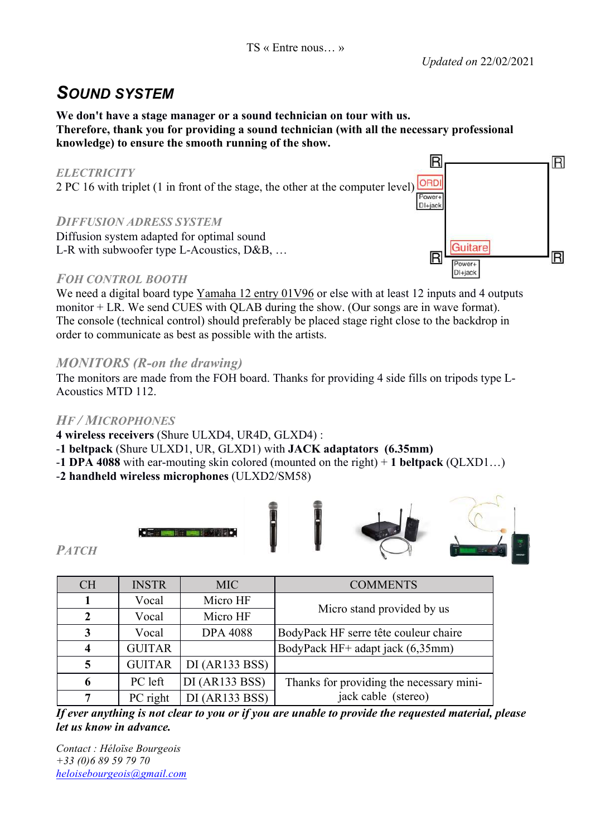### *SOUND SYSTEM*

**We don't have a stage manager or a sound technician on tour with us. Therefore, thank you for providing a sound technician (with all the necessary professional knowledge) to ensure the smooth running of the show.**

#### *ELECTRICITY*

2 PC 16 with triplet (1 in front of the stage, the other at the computer level)

#### *DIFFUSION ADRESS SYSTEM*

Diffusion system adapted for optimal sound L-R with subwoofer type L-Acoustics, D&B, …

#### *FOH CONTROL BOOTH*

We need a digital board type Yamaha 12 entry 01V96 or else with at least 12 inputs and 4 outputs monitor + LR. We send CUES with QLAB during the show. (Our songs are in wave format). The console (technical control) should preferably be placed stage right close to the backdrop in order to communicate as best as possible with the artists.

#### *MONITORS (R-on the drawing)*

The monitors are made from the FOH board. Thanks for providing 4 side fills on tripods type L-Acoustics MTD 112.

#### *HF / MICROPHONES*

**4 wireless receivers** (Shure ULXD4, UR4D, GLXD4) :

-**1 beltpack** (Shure ULXD1, UR, GLXD1) with **JACK adaptators (6.35mm)** 

-**1 DPA 4088** with ear-mouting skin colored (mounted on the right) + **1 beltpack** (QLXD1…)

-**2 handheld wireless microphones** (ULXD2/SM58)



*PATCH*

| <b>CH</b> | <b>INSTR</b>  | MIC             | <b>COMMENTS</b>                          |  |
|-----------|---------------|-----------------|------------------------------------------|--|
|           | Vocal         | Micro HF        | Micro stand provided by us               |  |
| 2         | Vocal         | Micro HF        |                                          |  |
| 3         | Vocal         | <b>DPA 4088</b> | BodyPack HF serre tête couleur chaire    |  |
|           | <b>GUITAR</b> |                 | BodyPack HF+ adapt jack (6,35mm)         |  |
| 5         | <b>GUITAR</b> | DI(AR133 BSS)   |                                          |  |
| 6         | PC left       | DI (AR133 BSS)  | Thanks for providing the necessary mini- |  |
|           | PC right      | DI(AR133 BSS)   | jack cable (stereo)                      |  |

*If ever anything is not clear to you or if you are unable to provide the requested material, please let us know in advance.*

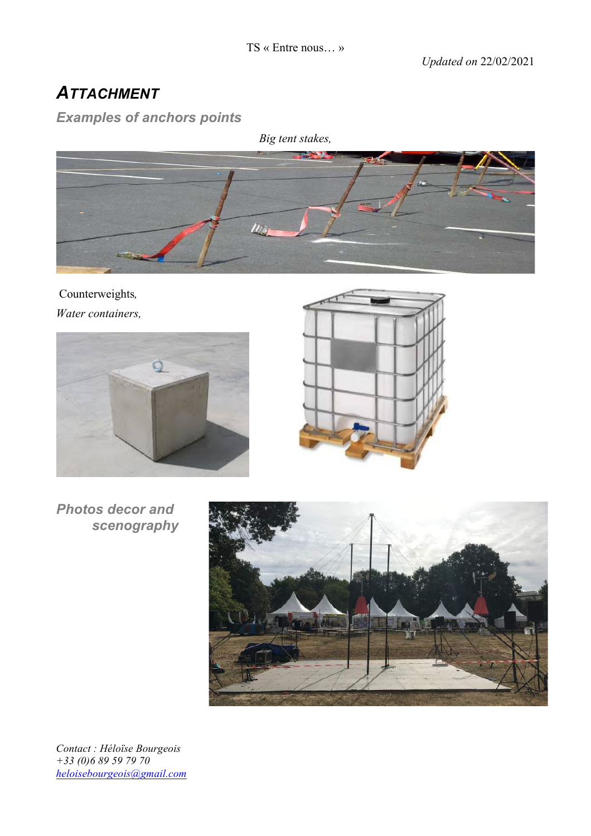# *ATTACHMENT*

### *Examples of anchors points*



Counterweights*, Water containers,*





*Photos decor and scenography*

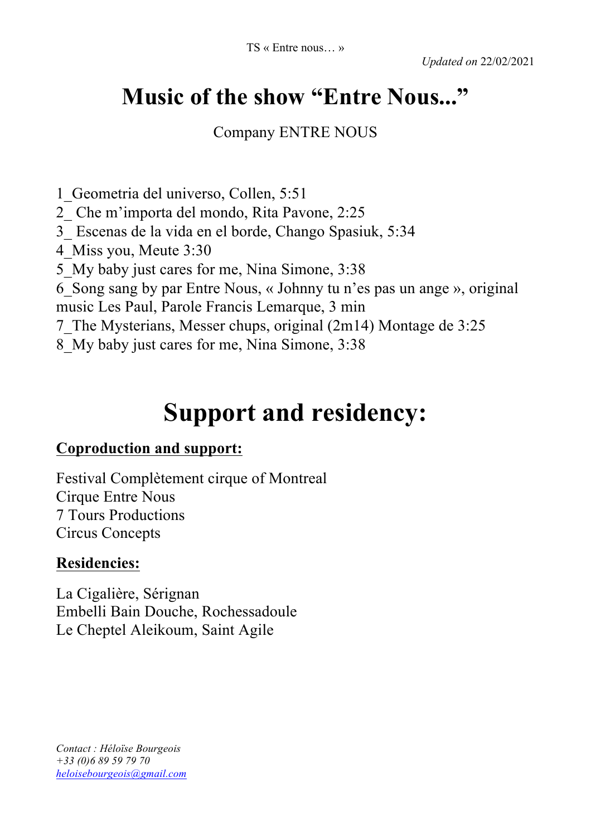# **Music of the show "Entre Nous..."**

Company ENTRE NOUS

1\_Geometria del universo, Collen, 5:51

2\_ Che m'importa del mondo, Rita Pavone, 2:25

3\_ Escenas de la vida en el borde, Chango Spasiuk, 5:34

4\_Miss you, Meute 3:30

5\_My baby just cares for me, Nina Simone, 3:38

6\_Song sang by par Entre Nous, « Johnny tu n'es pas un ange », original

music Les Paul, Parole Francis Lemarque, 3 min

7\_The Mysterians, Messer chups, original (2m14) Montage de 3:25

8\_My baby just cares for me, Nina Simone, 3:38

# **Support and residency:**

### **Coproduction and support:**

Festival Complètement cirque of Montreal Cirque Entre Nous 7 Tours Productions Circus Concepts

### **Residencies:**

La Cigalière, Sérignan Embelli Bain Douche, Rochessadoule Le Cheptel Aleikoum, Saint Agile